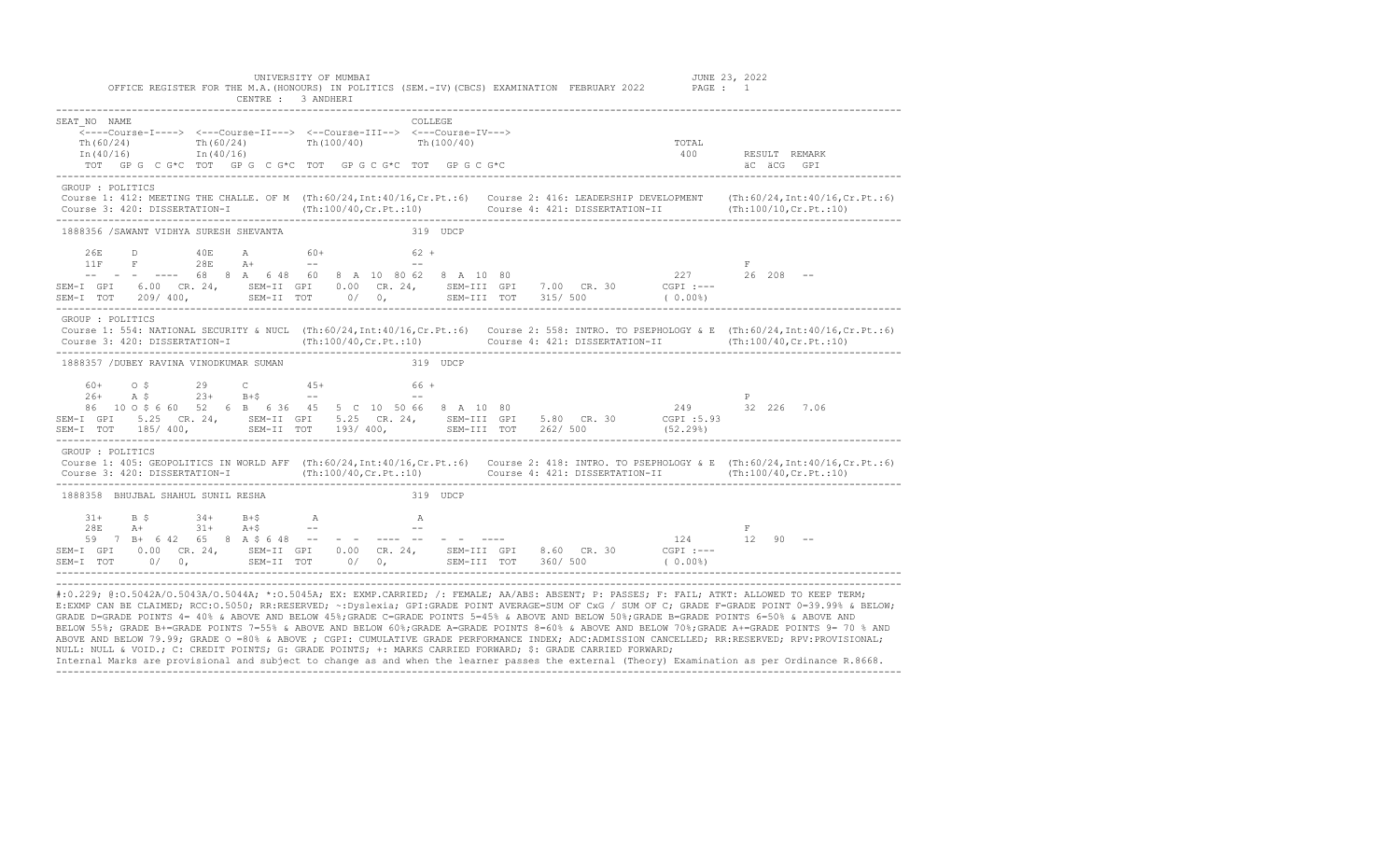|                                                                                                                                                                                                                                                                      | CENTRE : 3 ANDHERT                                            | OFFICE REGISTER FOR THE M.A. (HONOURS) IN POLITICS (SEM.-IV) (CBCS) EXAMINATION FEBRUARY 2022 PAGE : 1                                                                                                                                                            |                                   |
|----------------------------------------------------------------------------------------------------------------------------------------------------------------------------------------------------------------------------------------------------------------------|---------------------------------------------------------------|-------------------------------------------------------------------------------------------------------------------------------------------------------------------------------------------------------------------------------------------------------------------|-----------------------------------|
| SEAT NO NAME<br>$\overline{<---Course-I--->}$ $\leftarrow$ --Course-II---> $\leftarrow$ -Course-III--> $\leftarrow$ -Course-IV---><br>Th (60/24) Th (60/24) Th (100/40) Th (100/40) Th (40/16) Th (40/16)<br>TOT GPG C G*C TOT GPG C G*C TOT GPG C G*C TOT GPG C G*C | <b>COLLEGE</b>                                                | TOTAL<br>400                                                                                                                                                                                                                                                      | RESULT REMARK<br>äC äCG GPI       |
| GROUP : POLITICS                                                                                                                                                                                                                                                     |                                                               | Course 1: 412: MEETING THE CHALLE. OF M (Th:60/24, Int:40/16, Cr. Pt.:6) Course 2: 416: LEADERSHIP DEVELOPMENT (Th:60/24, Int:40/16, Cr. Pt.:6)                                                                                                                   |                                   |
| 1888356 /SAWANT VIDHYA SURESH SHEVANTA                                                                                                                                                                                                                               | 319 UDCP                                                      |                                                                                                                                                                                                                                                                   |                                   |
| 26E<br>D 40E<br>11F F 28E A+<br>SEM-I TOT 209/400, SEM-II TOT 0/0, SEM-III TOT 315/500                                                                                                                                                                               | A 60+ 62 +<br>and the state of the state of the<br>$\sim$ $-$ | $- --$ 68 8 A 6 48 60 8 A 10 80 62 8 A 10 80<br>SEM-I GPI 6.00 CR. 24, SEM-II GPI 0.00 CR. 24, SEM-III GPI 7.00 CR. 30 CGPI :---<br>(0.00)                                                                                                                        | F                                 |
| GROUP : POLITICS                                                                                                                                                                                                                                                     |                                                               | Course 1: 554: NATIONAL SECURITY & NUCL (Th:60/24,Int:40/16,Cr.Pt.:6) Course 2: 558: INTRO. TO PSEPHOLOGY & E (Th:60/24,Int:40/16,Cr.Pt.:6)<br>Course 3: 420: DISSERTATION-I (Th:100/40, Cr. Pt.:10) Course 4: 421: DISSERTATION-II (Th:100/40, Cr. Pt.:10)       |                                   |
| 1888357 /DUBEY RAVINA VINODKUMAR SUMAN                                                                                                                                                                                                                               | 319 UDCP                                                      |                                                                                                                                                                                                                                                                   |                                   |
| 29 C 45+<br>$\circ$ $\circ$<br>60+<br>$26+$ A \$ $23+$ B+\$ --                                                                                                                                                                                                       | $66 +$<br>$\sim$ $ \sim$                                      | 86 10 0 \$ 660 52 6 B 6 36 45 5 C 10 50 66 8 A 10 80 249 32 226 7.06<br>SEM-I GPI 5.25 CR. 24, SEM-II GPI 5.25 CR. 24, SEM-III GPI 5.80 CR. 30 CGPI:5.93<br>SEM-I TOT 185/400, SEM-II TOT 193/400, SEM-III TOT 262/500 (52.29%)                                   | P                                 |
| GROUP : POLITICS                                                                                                                                                                                                                                                     |                                                               | Course 1: 405: GEOPOLITICS IN WORLD AFF (Th:60/24, Int:40/16, Cr. Pt.:6) Course 2: 418: INTRO. TO PSEPHOLOGY & E (Th:60/24, Int:40/16, Cr. Pt.:6)<br>Course 3: 420: DISSERTATION-I (Th:100/40, Cr. Pt.:10) Course 4: 421: DISSERTATION-II (Th:100/40, Cr. Pt.:10) |                                   |
| 1888358 BHUJBAL SHAHUL SUNIL RESHA                                                                                                                                                                                                                                   | 319 UDCP                                                      |                                                                                                                                                                                                                                                                   |                                   |
| $31+$<br>$B$ $\sim$<br>$34+$<br>$B + S$<br>$A+$ 31+ $A+$ \$ --<br>28E<br>59 7 B+ 6 42 65 8 A \$ 6 48 -- - - ---- -- - -                                                                                                                                              | $\mathbb A$<br>$\mathbb{A}$                                   | SEM-I GPI 0.00 CR. 24, SEM-II GPI 0.00 CR. 24, SEM-III GPI 8.60 CR. 30 CGPI :---<br>(0.00)                                                                                                                                                                        | $\mathbb{F}$<br>$124$ $12$ 90 $-$ |
|                                                                                                                                                                                                                                                                      |                                                               |                                                                                                                                                                                                                                                                   |                                   |

UNIVERSITY OF MUMBAI **JUNE 23, 2022** 

#:0.229; @:0.5042A/O.5043A/O.5044A; \*:0.5045A; EX: EXMP.CARRIED; /: FEMALE; AA/ABS: ABSENT; P: PASSES; F: FAIL; ATKT: ALLOWED TO KEEP TERM; E:EXMP CAN BE CLAIMED; RCC:O.5050; RR:RESERVED; ~:Dyslexia; GPI:GRADE POINT AVERAGE=SUM OF CxG / SUM OF C; GRADE F=GRADE POINT 0=39.99% & BELOW; GRADE D=GRADE POINTS 4= 40% & ABOVE AND BELOW 45%;GRADE C=GRADE POINTS 5=45% & ABOVE AND BELOW 50%;GRADE B=GRADE POINTS 6=50% & ABOVE AND BELOW 55%; GRADE B+=GRADE POINTS 7=55% & ABOVE AND BELOW 60%;GRADE A=GRADE POINTS 8=60% & ABOVE AND BELOW 70%;GRADE A+=GRADE POINTS 9= 70 % AND ABOVE AND BELOW 79.99; GRADE O =80% & ABOVE ; CGPI: CUMULATIVE GRADE PERFORMANCE INDEX; ADC:ADMISSION CANCELLED; RR:RESERVED; RPV:PROVISIONAL; NULL: NULL & VOID.; C: CREDIT POINTS; G: GRADE POINTS; +: MARKS CARRIED FORWARD; \$: GRADE CARRIED FORWARD;

Internal Marks are provisional and subject to change as and when the learner passes the external (Theory) Examination as per Ordinance R.8668. -------------------------------------------------------------------------------------------------------------------------------------------------